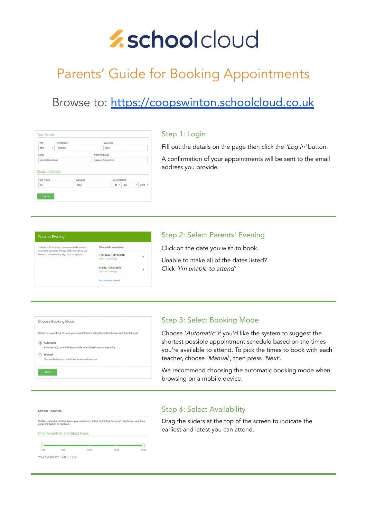# *Aschoolcloud*

## Parents' Guide for Booking Appointments

### Browse to: <https://coopswinton.schoolcloud.co.uk>

| Title                    | <b>First Name</b> | Surname              |               |  |  |  |
|--------------------------|-------------------|----------------------|---------------|--|--|--|
| <b>Mrs</b><br>$\bullet$  | Rachael           | Abbot                |               |  |  |  |
| Email                    |                   | <b>Confirm Email</b> |               |  |  |  |
| rabbot4@gmail.com        |                   | rabbot4@gmail.com    |               |  |  |  |
| <b>Student's Details</b> |                   |                      |               |  |  |  |
| <b>First Name</b>        | Surname           |                      | Date Of Birth |  |  |  |

#### Step 1: Login

Fill out the details on the page then click the 'Log In' button.

A confirmation of your appointments will be sent to the email address you provide.

| <b>Parents' Evening</b>                                                                                                                             |                                           |              |  |  |
|-----------------------------------------------------------------------------------------------------------------------------------------------------|-------------------------------------------|--------------|--|--|
| This parents' evening is an opportunity to meet<br>your child's teacher. Please enter the school via<br>the main entrance and sign in at reception. | Click a date to continue:                 |              |  |  |
|                                                                                                                                                     | Thursday, 16th March<br>Open for bookings | $\mathbf{v}$ |  |  |
|                                                                                                                                                     | Friday, 17th March<br>Open for bookings   | >            |  |  |
|                                                                                                                                                     | I'm unable to attend                      |              |  |  |

#### Step 2: Select Parents' Evening

Click on the date you wish to book.

Unable to make all of the dates listed? Click 'I'm unable to attend'

| <b>Choose Booking Mode</b>                                                                                                                         |  |
|----------------------------------------------------------------------------------------------------------------------------------------------------|--|
| Select how you'd like to book your appointments using the option below, and then hit Next.                                                         |  |
| Automatic<br>Automatically book the best possible times based on your availability<br>Manual<br>Choose the time you would like to see each teacher |  |
| <b>Next</b>                                                                                                                                        |  |
|                                                                                                                                                    |  |

#### Step 3: Select Booking Mode

Choose 'Automatic' if you'd like the system to suggest the shortest possible appointment schedule based on the times you're available to attend. To pick the times to book with each teacher, choose 'Manual', then press 'Next'.

We recommend choosing the automatic booking mode when browsing on a mobile device.



#### Step 4: Select Availability

Drag the sliders at the top of the screen to indicate the earliest and latest you can attend.